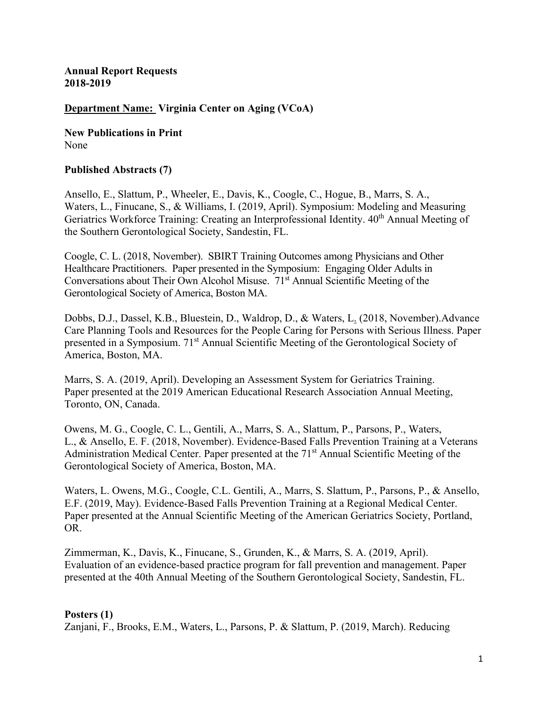**Annual Report Requests 2018-2019**

### **Department Name: Virginia Center on Aging (VCoA)**

**New Publications in Print** None

#### **Published Abstracts (7)**

Ansello, E., Slattum, P., Wheeler, E., Davis, K., Coogle, C., Hogue, B., Marrs, S. A., Waters, L., Finucane, S., & Williams, I. (2019, April). Symposium: Modeling and Measuring Geriatrics Workforce Training: Creating an Interprofessional Identity. 40<sup>th</sup> Annual Meeting of the Southern Gerontological Society, Sandestin, FL.

Coogle, C. L. (2018, November). SBIRT Training Outcomes among Physicians and Other Healthcare Practitioners. Paper presented in the Symposium: Engaging Older Adults in Conversations about Their Own Alcohol Misuse. 71<sup>st</sup> Annual Scientific Meeting of the Gerontological Society of America, Boston MA.

Dobbs, D.J., Dassel, K.B., Bluestein, D., Waldrop, D., & Waters, L. (2018, November).Advance Care Planning Tools and Resources for the People Caring for Persons with Serious Illness. Paper presented in a Symposium. 71st Annual Scientific Meeting of the Gerontological Society of America, Boston, MA.

Marrs, S. A. (2019, April). Developing an Assessment System for Geriatrics Training. Paper presented at the 2019 American Educational Research Association Annual Meeting, Toronto, ON, Canada.

Owens, M. G., Coogle, C. L., Gentili, A., Marrs, S. A., Slattum, P., Parsons, P., Waters, L., & Ansello, E. F. (2018, November). Evidence-Based Falls Prevention Training at a Veterans Administration Medical Center. Paper presented at the 71<sup>st</sup> Annual Scientific Meeting of the Gerontological Society of America, Boston, MA.

Waters, L. Owens, M.G., Coogle, C.L. Gentili, A., Marrs, S. Slattum, P., Parsons, P., & Ansello, E.F. (2019, May). Evidence-Based Falls Prevention Training at a Regional Medical Center. Paper presented at the Annual Scientific Meeting of the American Geriatrics Society, Portland, OR.

Zimmerman, K., Davis, K., Finucane, S., Grunden, K., & Marrs, S. A. (2019, April). Evaluation of an evidence-based practice program for fall prevention and management. Paper presented at the 40th Annual Meeting of the Southern Gerontological Society, Sandestin, FL.

#### **Posters (1)**

Zanjani, F., Brooks, E.M., Waters, L., Parsons, P. & Slattum, P. (2019, March). Reducing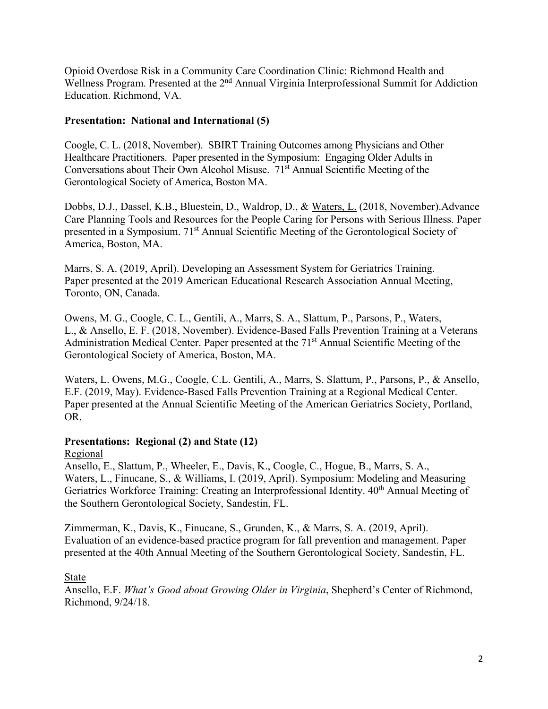Opioid Overdose Risk in a Community Care Coordination Clinic: Richmond Health and Wellness Program. Presented at the 2<sup>nd</sup> Annual Virginia Interprofessional Summit for Addiction Education. Richmond, VA.

## **Presentation: National and International (5)**

Coogle, C. L. (2018, November). SBIRT Training Outcomes among Physicians and Other Healthcare Practitioners. Paper presented in the Symposium: Engaging Older Adults in Conversations about Their Own Alcohol Misuse. 71<sup>st</sup> Annual Scientific Meeting of the Gerontological Society of America, Boston MA.

Dobbs, D.J., Dassel, K.B., Bluestein, D., Waldrop, D., & Waters, L. (2018, November).Advance Care Planning Tools and Resources for the People Caring for Persons with Serious Illness. Paper presented in a Symposium. 71st Annual Scientific Meeting of the Gerontological Society of America, Boston, MA.

Marrs, S. A. (2019, April). Developing an Assessment System for Geriatrics Training. Paper presented at the 2019 American Educational Research Association Annual Meeting, Toronto, ON, Canada.

Owens, M. G., Coogle, C. L., Gentili, A., Marrs, S. A., Slattum, P., Parsons, P., Waters, L., & Ansello, E. F. (2018, November). Evidence-Based Falls Prevention Training at a Veterans Administration Medical Center. Paper presented at the 71<sup>st</sup> Annual Scientific Meeting of the Gerontological Society of America, Boston, MA.

Waters, L. Owens, M.G., Coogle, C.L. Gentili, A., Marrs, S. Slattum, P., Parsons, P., & Ansello, E.F. (2019, May). Evidence-Based Falls Prevention Training at a Regional Medical Center. Paper presented at the Annual Scientific Meeting of the American Geriatrics Society, Portland, OR.

## **Presentations: Regional (2) and State (12)**

## Regional

Ansello, E., Slattum, P., Wheeler, E., Davis, K., Coogle, C., Hogue, B., Marrs, S. A., Waters, L., Finucane, S., & Williams, I. (2019, April). Symposium: Modeling and Measuring Geriatrics Workforce Training: Creating an Interprofessional Identity. 40<sup>th</sup> Annual Meeting of the Southern Gerontological Society, Sandestin, FL.

Zimmerman, K., Davis, K., Finucane, S., Grunden, K., & Marrs, S. A. (2019, April). Evaluation of an evidence-based practice program for fall prevention and management. Paper presented at the 40th Annual Meeting of the Southern Gerontological Society, Sandestin, FL.

## State

Ansello, E.F. *What's Good about Growing Older in Virginia*, Shepherd's Center of Richmond, Richmond, 9/24/18.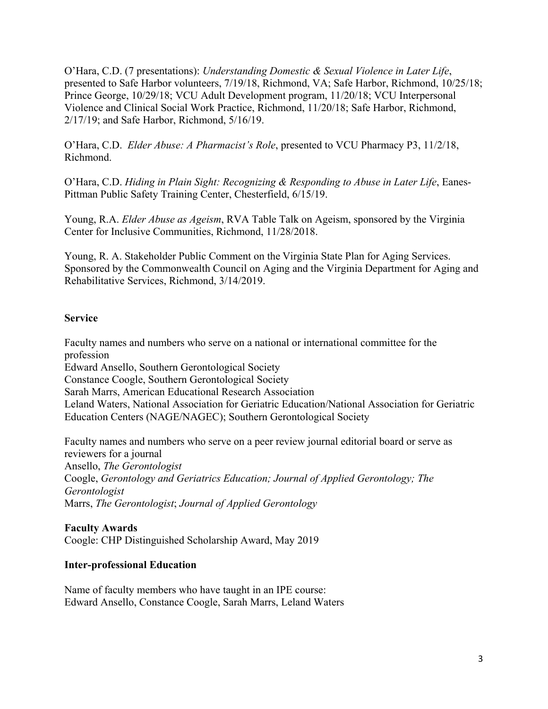O'Hara, C.D. (7 presentations): *Understanding Domestic & Sexual Violence in Later Life*, presented to Safe Harbor volunteers, 7/19/18, Richmond, VA; Safe Harbor, Richmond, 10/25/18; Prince George, 10/29/18; VCU Adult Development program, 11/20/18; VCU Interpersonal Violence and Clinical Social Work Practice, Richmond, 11/20/18; Safe Harbor, Richmond, 2/17/19; and Safe Harbor, Richmond, 5/16/19.

O'Hara, C.D. *Elder Abuse: A Pharmacist's Role*, presented to VCU Pharmacy P3, 11/2/18, Richmond.

O'Hara, C.D. *Hiding in Plain Sight: Recognizing & Responding to Abuse in Later Life*, Eanes-Pittman Public Safety Training Center, Chesterfield, 6/15/19.

Young, R.A. *Elder Abuse as Ageism*, RVA Table Talk on Ageism, sponsored by the Virginia Center for Inclusive Communities, Richmond, 11/28/2018.

Young, R. A. Stakeholder Public Comment on the Virginia State Plan for Aging Services. Sponsored by the Commonwealth Council on Aging and the Virginia Department for Aging and Rehabilitative Services, Richmond, 3/14/2019.

## **Service**

Faculty names and numbers who serve on a national or international committee for the profession Edward Ansello, Southern Gerontological Society Constance Coogle, Southern Gerontological Society Sarah Marrs, American Educational Research Association Leland Waters, National Association for Geriatric Education/National Association for Geriatric Education Centers (NAGE/NAGEC); Southern Gerontological Society

Faculty names and numbers who serve on a peer review journal editorial board or serve as reviewers for a journal Ansello, *The Gerontologist* Coogle, *Gerontology and Geriatrics Education; Journal of Applied Gerontology; The Gerontologist* Marrs, *The Gerontologist*; *Journal of Applied Gerontology*

# **Faculty Awards**

Coogle: CHP Distinguished Scholarship Award, May 2019

# **Inter-professional Education**

Name of faculty members who have taught in an IPE course: Edward Ansello, Constance Coogle, Sarah Marrs, Leland Waters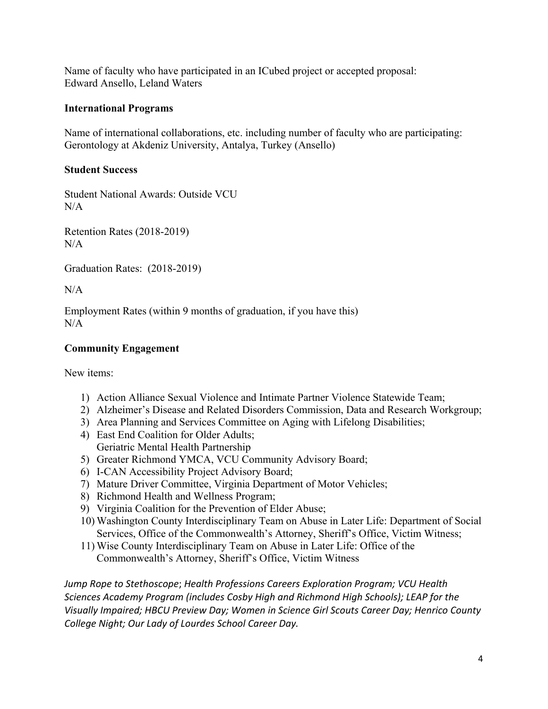Name of faculty who have participated in an ICubed project or accepted proposal: Edward Ansello, Leland Waters

## **International Programs**

Name of international collaborations, etc. including number of faculty who are participating: Gerontology at Akdeniz University, Antalya, Turkey (Ansello)

# **Student Success**

Student National Awards: Outside VCU  $N/A$ 

Retention Rates (2018-2019)  $N/A$ 

Graduation Rates: (2018-2019)

N/A

Employment Rates (within 9 months of graduation, if you have this)  $N/A$ 

# **Community Engagement**

New items:

- 1) Action Alliance Sexual Violence and Intimate Partner Violence Statewide Team;
- 2) Alzheimer's Disease and Related Disorders Commission, Data and Research Workgroup;
- 3) Area Planning and Services Committee on Aging with Lifelong Disabilities;
- 4) East End Coalition for Older Adults; Geriatric Mental Health Partnership
- 5) Greater Richmond YMCA, VCU Community Advisory Board;
- 6) I-CAN Accessibility Project Advisory Board;
- 7) Mature Driver Committee, Virginia Department of Motor Vehicles;
- 8) Richmond Health and Wellness Program;
- 9) Virginia Coalition for the Prevention of Elder Abuse;
- 10) Washington County Interdisciplinary Team on Abuse in Later Life: Department of Social Services, Office of the Commonwealth's Attorney, Sheriff's Office, Victim Witness;
- 11) Wise County Interdisciplinary Team on Abuse in Later Life: Office of the Commonwealth's Attorney, Sheriff's Office, Victim Witness

*Jump Rope to Stethoscope*; *Health Professions Careers Exploration Program; VCU Health Sciences Academy Program (includes Cosby High and Richmond High Schools); LEAP for the Visually Impaired; HBCU Preview Day; Women in Science Girl Scouts Career Day; Henrico County College Night; Our Lady of Lourdes School Career Day.*